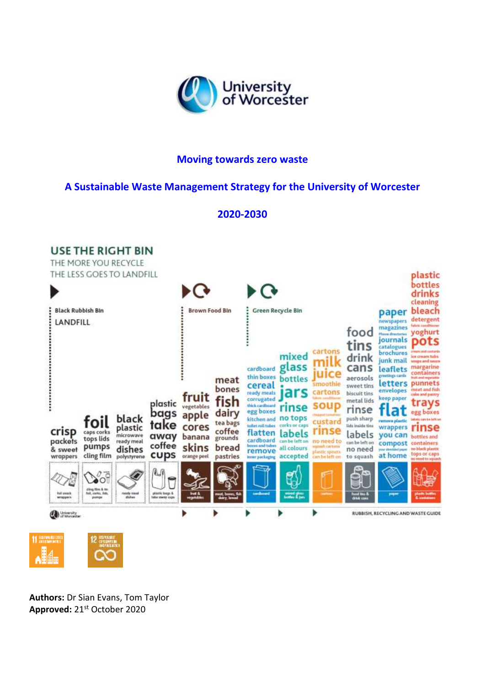

# **Moving towards zero waste**

# **A Sustainable Waste Management Strategy for the University of Worcester**

# **2020-2030**



**Authors:** Dr Sian Evans, Tom Taylor **Approved:** 21st October 2020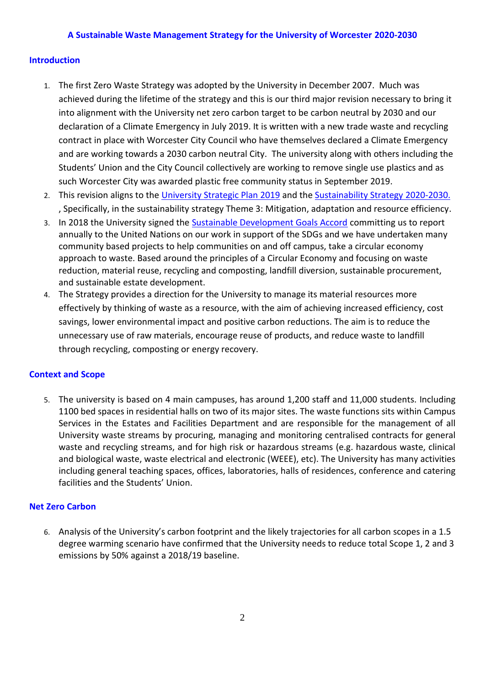#### **Introduction**

- 1. The first Zero Waste Strategy was adopted by the University in December 2007. Much was into alignment with the University net zero carbon target to be carbon neutral by 2030 and our declaration of a Climate Emergency in July 2019. It is written with a new trade waste and recycling contract in place with Worcester City Council who have themselves declared a Climate Emergency and are working towards a 2030 carbon neutral City. The university along with others including the achieved during the lifetime of the strategy and this is our third major revision necessary to bring it Students' Union and the City Council collectively are working to remove single use plastics and as such Worcester City was awarded plastic free community status in September 2019.
- 2. This revision aligns to the University Strategic Plan 2019 and the Sustainability Strategy 2020-2030. 2. This revision aligns to the [University Strategic Plan 2019](https://www.worcester.ac.uk/about/university-information/strategic-plan.aspx) and the Sustainability Strategy 2020-2030.<br>, Specifically, in the sustainability strategy Theme 3: Mitigation, adaptation and resource efficiency.
- annually to the United Nations on our work in support of the SDGs and we have undertaken many community based projects to help communities on and off campus, take a circular economy approach to waste. Based around the principles of a Circular Economy and focusing on waste 3. In 2018 the University signed the [Sustainable Development Goals Accord](https://www.sdgaccord.org/) committing us to report reduction, material reuse, recycling and composting, landfill diversion, sustainable procurement, and sustainable estate development.
- 4. The Strategy provides a direction for the University to manage its material resources more effectively by thinking of waste as a resource, with the aim of achieving increased efficiency, cost savings, lower environmental impact and positive carbon reductions. The aim is to reduce the unnecessary use of raw materials, encourage reuse of products, and reduce waste to landfill through recycling, composting or energy recovery.

#### **Context and Scope**

 5. The university is based on 4 main campuses, has around 1,200 staff and 11,000 students. Including 1100 bed spaces in residential halls on two of its major sites. The waste functions sits within Campus Services in the Estates and Facilities Department and are responsible for the management of all University waste streams by procuring, managing and monitoring centralised contracts for general waste and recycling streams, and for high risk or hazardous streams (e.g. hazardous waste, clinical including general teaching spaces, offices, laboratories, halls of residences, conference and catering and biological waste, waste electrical and electronic (WEEE), etc). The University has many activities facilities and the Students' Union.

#### **Net Zero Carbon**

 6. Analysis of the University's carbon footprint and the likely trajectories for all carbon scopes in a 1.5 degree warming scenario have confirmed that the University needs to reduce total Scope 1, 2 and 3 emissions by 50% against a 2018/19 baseline.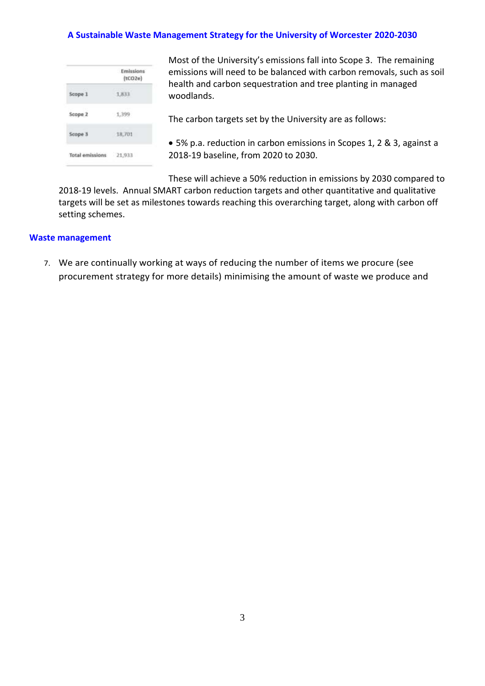|                 | Emissions<br>(tCO <sub>20</sub> ) |
|-----------------|-----------------------------------|
| Scope 1         | 1,833                             |
| Scope 2         | 1,399                             |
| Scope 3         | 18,701                            |
| Total emissions | 21,933                            |

 Most of the University's emissions fall into Scope 3. The remaining emissions will need to be balanced with carbon removals, such as soil health and carbon sequestration and tree planting in managed woodlands.

The carbon targets set by the University are as follows:

 • 5% p.a. reduction in carbon emissions in Scopes 1, 2 & 3, against a 2018-19 baseline, from 2020 to 2030.

These will achieve a 50% reduction in emissions by 2030 compared to

 2018-19 levels. Annual SMART carbon reduction targets and other quantitative and qualitative targets will be set as milestones towards reaching this overarching target, along with carbon off setting schemes.

#### **Waste management**

 7. We are continually working at ways of reducing the number of items we procure (see procurement strategy for more details) minimising the amount of waste we produce and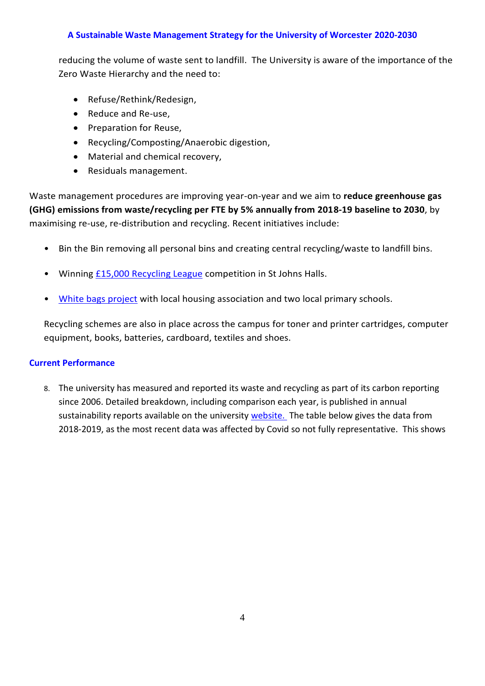reducing the volume of waste sent to landfill. The University is aware of the importance of the Zero Waste Hierarchy and the need to:

- Refuse/Rethink/Redesign,
- Reduce and Re-use,
- Preparation for Reuse,
- Recycling/Composting/Anaerobic digestion,
- Material and chemical recovery,
- Residuals management.

 **(GHG) emissions from waste/recycling per FTE by 5% annually from 2018-19 baseline to 2030**, by maximising re-use, re-distribution and recycling. Recent initiatives include: Waste management procedures are improving year-on-year and we aim to **reduce greenhouse gas** 

- Bin the Bin removing all personal bins and creating central recycling/waste to landfill bins.
- Winning **£15,000 Recycling League** competition in St Johns Halls.
- [White bags project](https://susthingsout.com/index.php/sustainable-young-minds-our-recycling-workshop-at-oldbury-park-school/) with local housing association and two local primary schools.

 Recycling schemes are also in place across the campus for toner and printer cartridges, computer equipment, books, batteries, cardboard, textiles and shoes.

#### **Current Performance**

 8. The university has measured and reported its waste and recycling as part of its carbon reporting since 2006. Detailed breakdown, including comparison each year, is published in annual sustainability reports available on the university *website*. The table below gives the data from 2018-2019, as the most recent data was affected by Covid so not fully representative. This shows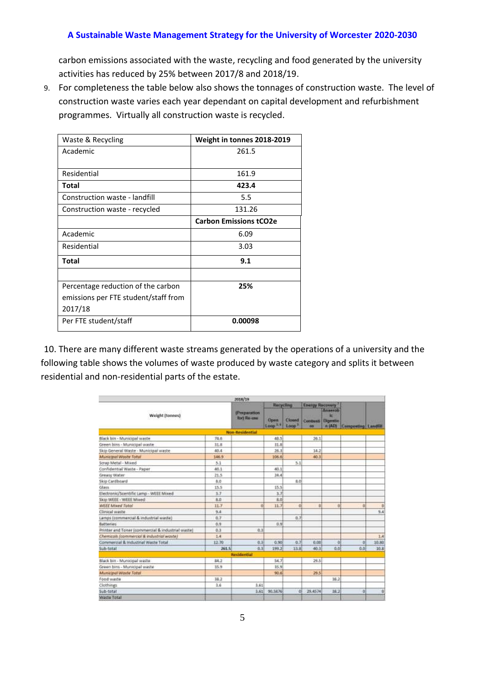carbon emissions associated with the waste, recycling and food generated by the university activities has reduced by 25% between 2017/8 and 2018/19.

 9. For completeness the table below also shows the tonnages of construction waste. The level of construction waste varies each year dependant on capital development and refurbishment programmes. Virtually all construction waste is recycled.

| Waste & Recycling                    | Weight in tonnes 2018-2019    |
|--------------------------------------|-------------------------------|
| Academic                             | 261.5                         |
|                                      |                               |
| Residential                          | 161.9                         |
| Total                                | 423.4                         |
| Construction waste - landfill        | 5.5                           |
| Construction waste - recycled        | 131.26                        |
|                                      | <b>Carbon Emissions tCO2e</b> |
| Academic                             | 6.09                          |
| Residential                          | 3.03                          |
| Total                                | 9.1                           |
|                                      |                               |
| Percentage reduction of the carbon   | 25%                           |
| emissions per FTE student/staff from |                               |
| 2017/18                              |                               |
| Per FTE student/staff                | 0.00098                       |
|                                      |                               |

 10. There are many different waste streams generated by the operations of a university and the following table shows the volumes of waste produced by waste category and splits it between residential and non-residential parts of the estate.

|                                                   |       | 2018/19                      |                            |                             |                        |                                            |                     |          |
|---------------------------------------------------|-------|------------------------------|----------------------------|-----------------------------|------------------------|--------------------------------------------|---------------------|----------|
| Weight [tonnes]                                   |       | (Preparation)<br>for) Re-use | <b>Recycling</b>           |                             | <b>Energy Recovery</b> |                                            |                     |          |
|                                                   |       |                              | Open<br>Loop <sup>14</sup> | Closed<br>Loop <sup>3</sup> | <b>Continues</b><br>on | Anserob<br>v<br><b>Olgestio</b><br>in (AD) | Composting Landfill |          |
|                                                   |       | Non-Residential              |                            |                             |                        |                                            |                     |          |
| Black bin - Municipal waste                       | 74.6  |                              | 48.5                       |                             | 26.1                   |                                            |                     |          |
| Green bins - Municipal waste                      | 31.8  |                              | 31.8                       |                             |                        |                                            |                     |          |
| Skip General Waste - Municipal waste              | 40.4  |                              | 26.1                       |                             | 14.2                   |                                            |                     |          |
| Municipal Westle Total                            | 146.9 |                              | 106.6                      |                             | 40.3                   |                                            |                     |          |
| Strap Metal - Mixed                               | 5.1   |                              |                            | 5.1                         |                        |                                            |                     |          |
| Confidential Waste - Paper                        | 40.1  |                              | 40.1                       |                             |                        |                                            |                     |          |
| Greasy Water                                      | 21.5  |                              | 24.4                       |                             |                        |                                            |                     |          |
| Skip Cardboard                                    | 8.0   |                              |                            | a.ci                        |                        |                                            |                     |          |
| Glass                                             | 15.5  |                              | 15.5                       |                             |                        |                                            |                     |          |
| Electronic/Scentific Lamp - WEEE Mixed            | 1.7   |                              | 3.7                        |                             |                        |                                            |                     |          |
| Skip WEEE - WEEE Mixed                            | 8.0   |                              | 8.0                        |                             |                        |                                            |                     |          |
| WEEE Moved Total                                  | 11.7  |                              | 11.7                       | d                           | ū                      | 0 <sup>1</sup>                             | ū.                  | $\bf{0}$ |
| Climical wanter                                   | 9.4   |                              |                            |                             |                        |                                            |                     | 9.6      |
| Lamps (commercial & industrial waste)             | 6.7   |                              |                            | 0.7                         |                        |                                            |                     |          |
| Batteries                                         | 0.9   |                              | 0.9                        |                             |                        |                                            |                     |          |
| Printer and Toner (commercial & industrial waste) | 0.3   | 0.3                          |                            |                             |                        |                                            |                     |          |
| Chemicali (commercial & industrial waste)         | 1.4   |                              |                            |                             |                        |                                            |                     | 1.4      |
| Commercial & Industrial Waste Total               | 12.70 | 0.3                          | 0.90                       | 0.7                         | 0.00                   | $\Omega$                                   | 0                   | 10.80    |
| Sub-total                                         | 261.5 | 0.3                          | 199.2                      | 11.8                        | 40.3                   | 0,0                                        | 0.0                 | 10.8     |
|                                                   |       | <b>Residential</b>           |                            |                             |                        |                                            |                     |          |
| Black bin - Municipal waste                       | 84.2  |                              | 54.7                       |                             | 29.5                   |                                            |                     |          |
| Green bins - Municipal waste                      | 15.9  |                              | 15.9                       |                             |                        |                                            |                     |          |
| Municipal Waste Total                             |       |                              | 90.6                       |                             | 29.5                   |                                            |                     |          |
| Food waste                                        | 38.2  |                              |                            |                             |                        | 38.2                                       |                     |          |
| Clothings                                         | 3.6   | 3.61                         |                            |                             |                        |                                            |                     |          |
| Sub-total                                         |       |                              | 3.61 95.5876               | ø                           | 29,4574                | 38.2                                       | o.                  | ū        |
| Waste Total                                       |       |                              |                            |                             |                        |                                            |                     |          |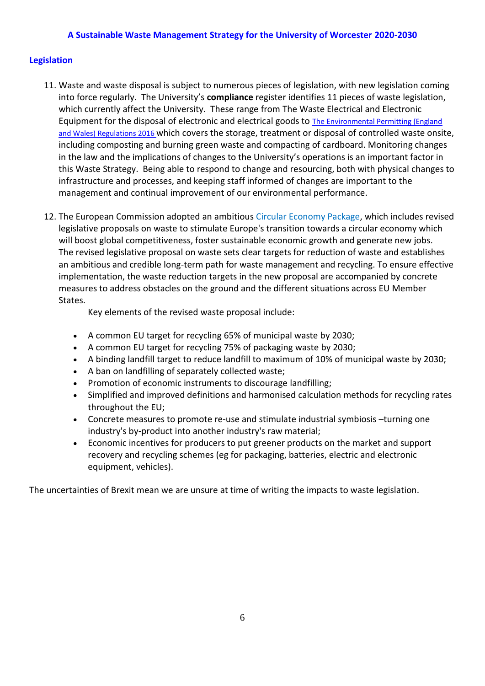#### **Legislation**

- 11. Waste and waste disposal is subject to numerous pieces of legislation, with new legislation coming into force regularly. The University's **compliance** register identifies 11 pieces of waste legislation, which currently affect the University. These range from The Waste Electrical and Electronic Equipment for the disposal of electronic and electrical goods to The Environmental Permitting (England [and Wales\) Regulations 2016](http://www.legislation.gov.uk/uksi/2016/1154/contents/made) which covers the storage, treatment or disposal of controlled waste onsite, including composting and burning green waste and compacting of cardboard. Monitoring changes in the law and the implications of changes to the University's operations is an important factor in this Waste Strategy. Being able to respond to change and resourcing, both with physical changes to infrastructure and processes, and keeping staff informed of changes are important to the management and continual improvement of our environmental performance.
- 12. The European Commission adopted an ambitious [Circular Economy Package,](https://ec.europa.eu/environment/circular-economy/) which includes revised will boost global competitiveness, foster sustainable economic growth and generate new jobs. The revised legislative proposal on waste sets clear targets for reduction of waste and establishes an ambitious and credible long-term path for waste management and recycling. To ensure effective implementation, the waste reduction targets in the new proposal are accompanied by concrete measures to address obstacles on the ground and the different situations across EU Member legislative proposals on waste to stimulate Europe's transition towards a circular economy which States.

Key elements of the revised waste proposal include:

- A common EU target for recycling 65% of municipal waste by 2030;
- A common EU target for recycling 75% of packaging waste by 2030;
- A binding landfill target to reduce landfill to maximum of 10% of municipal waste by 2030;
- A ban on landfilling of separately collected waste;
- Promotion of economic instruments to discourage landfilling;
- • Simplified and improved definitions and harmonised calculation methods for recycling rates throughout the EU;
- Concrete measures to promote re-use and stimulate industrial symbiosis –turning one industry's by-product into another industry's raw material;
- • Economic incentives for producers to put greener products on the market and support recovery and recycling schemes (eg for packaging, batteries, electric and electronic equipment, vehicles).

The uncertainties of Brexit mean we are unsure at time of writing the impacts to waste legislation.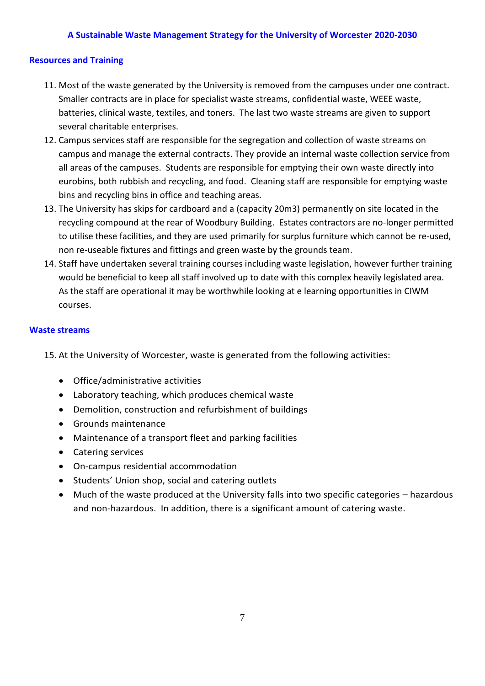#### **Resources and Training**

- 11. Most of the waste generated by the University is removed from the campuses under one contract. Smaller contracts are in place for specialist waste streams, confidential waste, WEEE waste, batteries, clinical waste, textiles, and toners. The last two waste streams are given to support several charitable enterprises.
- 12. Campus services staff are responsible for the segregation and collection of waste streams on campus and manage the external contracts. They provide an internal waste collection service from eurobins, both rubbish and recycling, and food. Cleaning staff are responsible for emptying waste bins and recycling bins in office and teaching areas. all areas of the campuses. Students are responsible for emptying their own waste directly into
- 13. The University has skips for cardboard and a (capacity 20m3) permanently on site located in the recycling compound at the rear of Woodbury Building. Estates contractors are no-longer permitted to utilise these facilities, and they are used primarily for surplus furniture which cannot be re-used, non re-useable fixtures and fittings and green waste by the grounds team.
- 14. Staff have undertaken several training courses including waste legislation, however further training would be beneficial to keep all staff involved up to date with this complex heavily legislated area. As the staff are operational it may be worthwhile looking at e learning opportunities in CIWM courses.

#### **Waste streams**

15. At the University of Worcester, waste is generated from the following activities:

- Office/administrative activities
- Laboratory teaching, which produces chemical waste
- Demolition, construction and refurbishment of buildings
- Grounds maintenance
- Maintenance of a transport fleet and parking facilities
- Catering services
- On-campus residential accommodation
- Students' Union shop, social and catering outlets
- • Much of the waste produced at the University falls into two specific categories hazardous and non-hazardous. In addition, there is a significant amount of catering waste.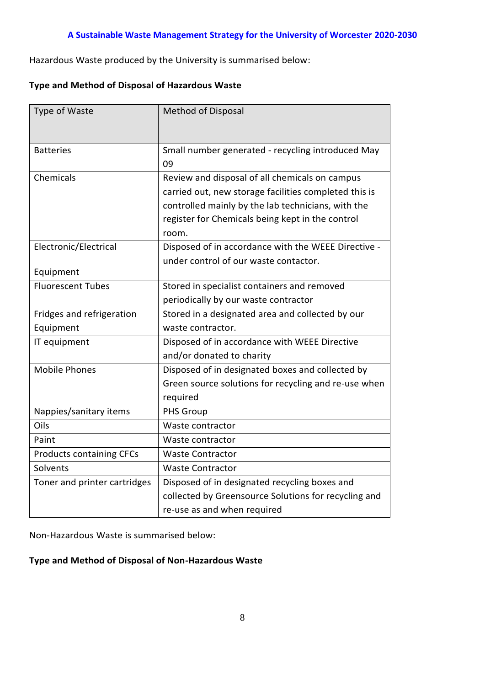Hazardous Waste produced by the University is summarised below:

### **Type and Method of Disposal of Hazardous Waste**

| Type of Waste                   | <b>Method of Disposal</b>                             |  |  |  |  |
|---------------------------------|-------------------------------------------------------|--|--|--|--|
|                                 |                                                       |  |  |  |  |
| <b>Batteries</b>                | Small number generated - recycling introduced May     |  |  |  |  |
|                                 | 09                                                    |  |  |  |  |
| Chemicals                       | Review and disposal of all chemicals on campus        |  |  |  |  |
|                                 | carried out, new storage facilities completed this is |  |  |  |  |
|                                 | controlled mainly by the lab technicians, with the    |  |  |  |  |
|                                 | register for Chemicals being kept in the control      |  |  |  |  |
|                                 | room.                                                 |  |  |  |  |
| Electronic/Electrical           | Disposed of in accordance with the WEEE Directive -   |  |  |  |  |
|                                 | under control of our waste contactor.                 |  |  |  |  |
| Equipment                       |                                                       |  |  |  |  |
| <b>Fluorescent Tubes</b>        | Stored in specialist containers and removed           |  |  |  |  |
|                                 | periodically by our waste contractor                  |  |  |  |  |
| Fridges and refrigeration       | Stored in a designated area and collected by our      |  |  |  |  |
| Equipment                       | waste contractor.                                     |  |  |  |  |
| IT equipment                    | Disposed of in accordance with WEEE Directive         |  |  |  |  |
|                                 | and/or donated to charity                             |  |  |  |  |
| <b>Mobile Phones</b>            | Disposed of in designated boxes and collected by      |  |  |  |  |
|                                 | Green source solutions for recycling and re-use when  |  |  |  |  |
|                                 | required                                              |  |  |  |  |
| Nappies/sanitary items          | <b>PHS Group</b>                                      |  |  |  |  |
| Oils                            | Waste contractor                                      |  |  |  |  |
| Paint                           | Waste contractor                                      |  |  |  |  |
| <b>Products containing CFCs</b> | <b>Waste Contractor</b>                               |  |  |  |  |
| Solvents                        | <b>Waste Contractor</b>                               |  |  |  |  |
| Toner and printer cartridges    | Disposed of in designated recycling boxes and         |  |  |  |  |
|                                 | collected by Greensource Solutions for recycling and  |  |  |  |  |
|                                 | re-use as and when required                           |  |  |  |  |

Non-Hazardous Waste is summarised below:

### **Type and Method of Disposal of Non-Hazardous Waste**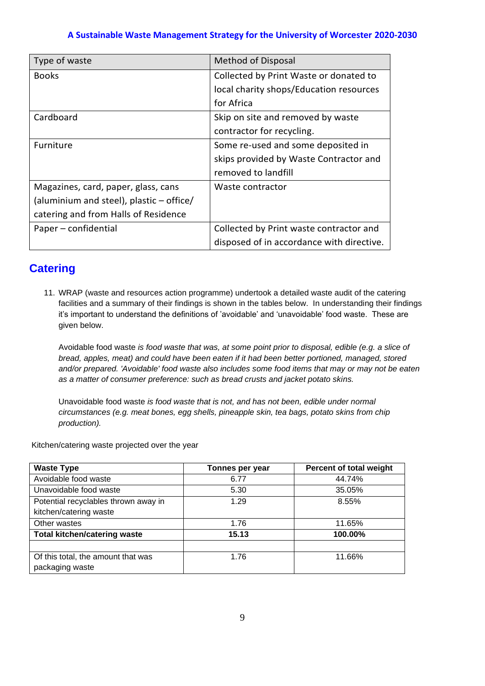| Type of waste                            | <b>Method of Disposal</b>                 |
|------------------------------------------|-------------------------------------------|
| <b>Books</b>                             | Collected by Print Waste or donated to    |
|                                          | local charity shops/Education resources   |
|                                          | for Africa                                |
| Cardboard                                | Skip on site and removed by waste         |
|                                          | contractor for recycling.                 |
| Furniture                                | Some re-used and some deposited in        |
|                                          | skips provided by Waste Contractor and    |
|                                          | removed to landfill                       |
| Magazines, card, paper, glass, cans      | Waste contractor                          |
| (aluminium and steel), plastic - office/ |                                           |
| catering and from Halls of Residence     |                                           |
| Paper - confidential                     | Collected by Print waste contractor and   |
|                                          | disposed of in accordance with directive. |

# **Catering**

11. WRAP (waste and resources action programme) undertook a detailed waste audit of the catering facilities and a summary of their findings is shown in the tables below. In understanding their findings it's important to understand the definitions of 'avoidable' and 'unavoidable' food waste. These are given below.

Avoidable food waste *is food waste that was, at some point prior to disposal, edible (e.g. a slice of bread, apples, meat) and could have been eaten if it had been better portioned, managed, stored and/or prepared. 'Avoidable' food waste also includes some food items that may or may not be eaten as a matter of consumer preference: such as bread crusts and jacket potato skins.*

Unavoidable food waste *is food waste that is not, and has not been, edible under normal circumstances (e.g. meat bones, egg shells, pineapple skin, tea bags, potato skins from chip production).* 

Kitchen/catering waste projected over the year

| <b>Waste Type</b>                    | Tonnes per year | Percent of total weight |
|--------------------------------------|-----------------|-------------------------|
| Avoidable food waste                 | 6.77            | 44.74%                  |
| Unavoidable food waste               | 5.30            | 35.05%                  |
| Potential recyclables thrown away in | 1.29            | 8.55%                   |
| kitchen/catering waste               |                 |                         |
| Other wastes                         | 1.76            | 11.65%                  |
| <b>Total kitchen/catering waste</b>  | 15.13           | 100.00%                 |
|                                      |                 |                         |
| Of this total, the amount that was   | 1.76            | 11.66%                  |
| packaging waste                      |                 |                         |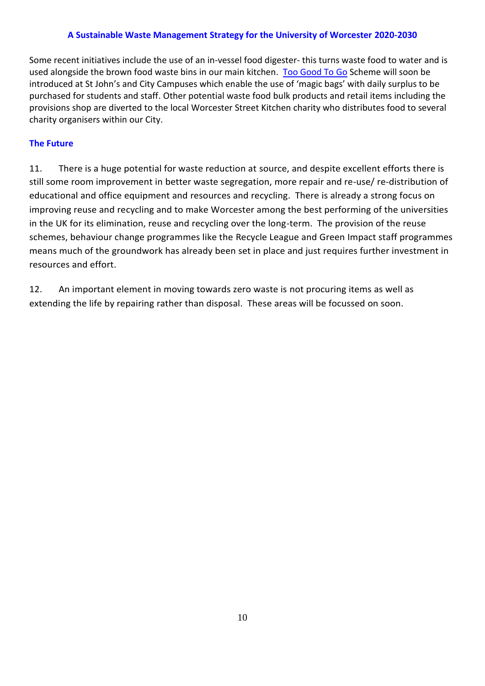Some recent initiatives include the use of an in-vessel food digester- this turns waste food to water and is used alongside the brown food waste bins in our main kitchen. [Too Good To Go](https://toogoodtogo.co.uk/en-gb/) Scheme will soon be introduced at St John's and City Campuses which enable the use of 'magic bags' with daily surplus to be provisions shop are diverted to the local Worcester Street Kitchen charity who distributes food to several charity organisers within our City. purchased for students and staff. Other potential waste food bulk products and retail items including the

### **The Future**

 11. There is a huge potential for waste reduction at source, and despite excellent efforts there is still some room improvement in better waste segregation, more repair and re-use/ re-distribution of educational and office equipment and resources and recycling. There is already a strong focus on in the UK for its elimination, reuse and recycling over the long-term. The provision of the reuse schemes, behaviour change programmes like the Recycle League and Green Impact staff programmes means much of the groundwork has already been set in place and just requires further investment in resources and effort. improving reuse and recycling and to make Worcester among the best performing of the universities

 12. An important element in moving towards zero waste is not procuring items as well as extending the life by repairing rather than disposal. These areas will be focussed on soon.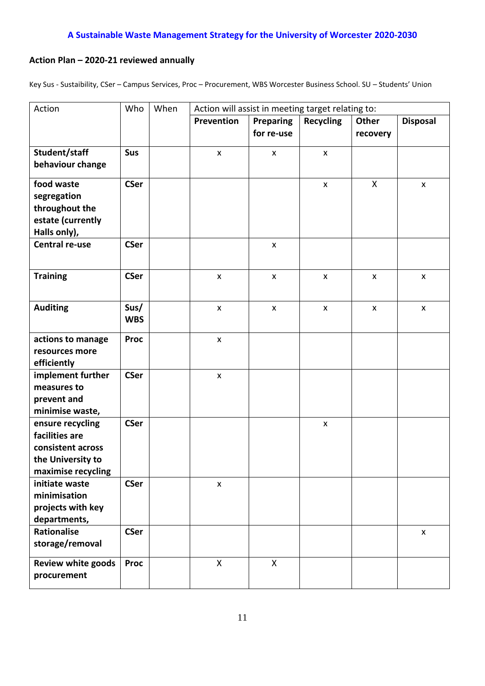# **Action Plan – 2020-21 reviewed annually**

Key Sus - Sustaibility, CSer – Campus Services, Proc – Procurement, WBS Worcester Business School. SU – Students' Union

| Action                                                                                             | Who                | When | Action will assist in meeting target relating to: |                                |                    |                   |                    |
|----------------------------------------------------------------------------------------------------|--------------------|------|---------------------------------------------------|--------------------------------|--------------------|-------------------|--------------------|
|                                                                                                    |                    |      | Prevention                                        | <b>Preparing</b><br>for re-use | <b>Recycling</b>   | Other<br>recovery | <b>Disposal</b>    |
| Student/staff<br>behaviour change                                                                  | Sus                |      | $\mathsf{x}$                                      | $\mathsf{x}$                   | $\mathsf{x}$       |                   |                    |
| food waste<br>segregation<br>throughout the<br>estate (currently<br>Halls only),                   | <b>CSer</b>        |      |                                                   |                                | $\pmb{\mathsf{X}}$ | X                 | X                  |
| <b>Central re-use</b>                                                                              | <b>CSer</b>        |      |                                                   | $\mathsf{x}$                   |                    |                   |                    |
| <b>Training</b>                                                                                    | <b>CSer</b>        |      | $\mathsf{x}$                                      | $\pmb{\mathsf{x}}$             | $\pmb{\mathsf{X}}$ | $\mathsf{x}$      | $\mathsf{x}$       |
| <b>Auditing</b>                                                                                    | Sus/<br><b>WBS</b> |      | $\pmb{\times}$                                    | X                              | $\pmb{\mathsf{X}}$ | $\pmb{\times}$    | $\pmb{\mathsf{X}}$ |
| actions to manage<br>resources more<br>efficiently                                                 | <b>Proc</b>        |      | X                                                 |                                |                    |                   |                    |
| implement further<br>measures to<br>prevent and<br>minimise waste,                                 | <b>CSer</b>        |      | $\pmb{\times}$                                    |                                |                    |                   |                    |
| ensure recycling<br>facilities are<br>consistent across<br>the University to<br>maximise recycling | <b>CSer</b>        |      |                                                   |                                | X                  |                   |                    |
| initiate waste<br>minimisation<br>projects with key<br>departments,                                | <b>CSer</b>        |      | $\pmb{\mathsf{x}}$                                |                                |                    |                   |                    |
| <b>Rationalise</b><br>storage/removal                                                              | <b>CSer</b>        |      |                                                   |                                |                    |                   | X                  |
| <b>Review white goods</b><br>procurement                                                           | <b>Proc</b>        |      | $\sf X$                                           | X                              |                    |                   |                    |